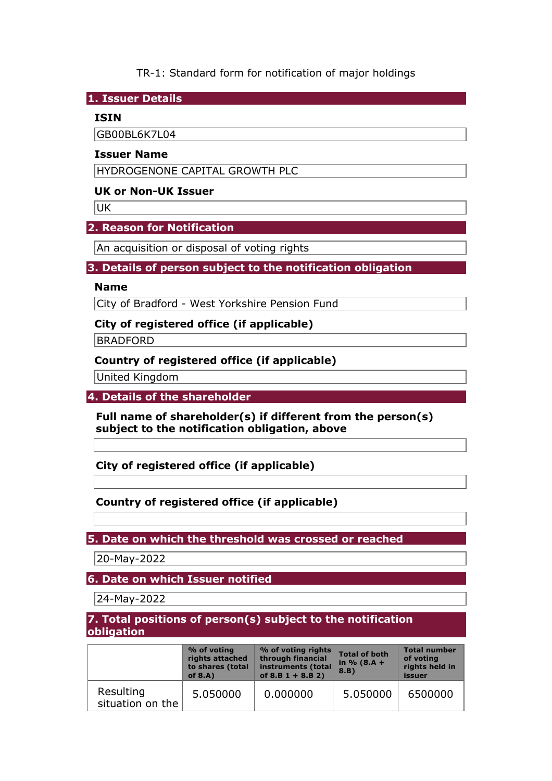TR-1: Standard form for notification of major holdings

**1. Issuer Details** 

## **ISIN**

GB00BL6K7L04

### **Issuer Name**

HYDROGENONE CAPITAL GROWTH PLC

## **UK or Non-UK Issuer**

UK

# **2. Reason for Notification**

An acquisition or disposal of voting rights

## **3. Details of person subject to the notification obligation**

### **Name**

City of Bradford - West Yorkshire Pension Fund

# **City of registered office (if applicable)**

**BRADFORD** 

# **Country of registered office (if applicable)**

United Kingdom

**4. Details of the shareholder** 

**Full name of shareholder(s) if different from the person(s) subject to the notification obligation, above** 

**City of registered office (if applicable)** 

# **Country of registered office (if applicable)**

**5. Date on which the threshold was crossed or reached** 

20-May-2022

**6. Date on which Issuer notified** 

24-May-2022

**7. Total positions of person(s) subject to the notification obligation** 

|                               | % of voting<br>rights attached<br>to shares (total<br>of $8.A$ ) | $%$ of voting rights<br>through financial<br>instruments (total<br>of $8.B 1 + 8.B 2)$ | <b>Total of both</b><br>in $% (8.A +$<br>8.B) | <b>Total number</b><br>of voting<br>rights held in<br>issuer |
|-------------------------------|------------------------------------------------------------------|----------------------------------------------------------------------------------------|-----------------------------------------------|--------------------------------------------------------------|
| Resulting<br>situation on the | 5.050000                                                         | 0.000000                                                                               | 5.050000                                      | 6500000                                                      |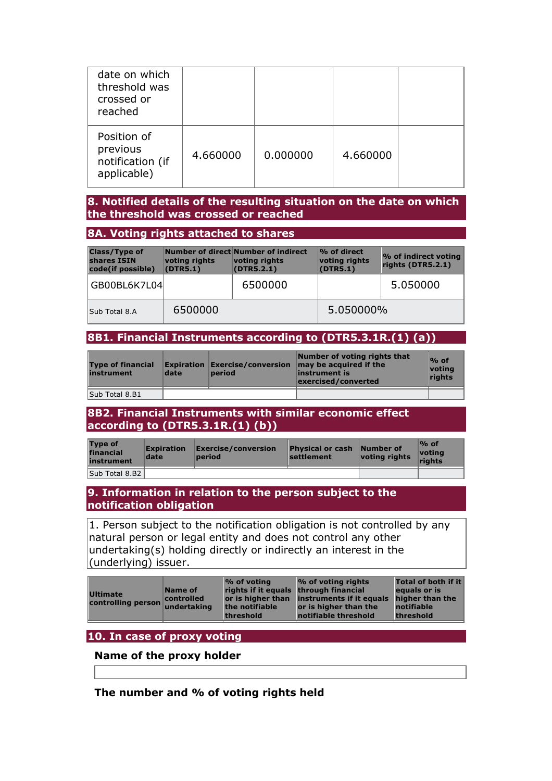| date on which<br>threshold was<br>crossed or<br>reached    |          |          |          |  |
|------------------------------------------------------------|----------|----------|----------|--|
| Position of<br>previous<br>notification (if<br>applicable) | 4.660000 | 0.000000 | 4.660000 |  |

### **8. Notified details of the resulting situation on the date on which the threshold was crossed or reached**

#### **8A. Voting rights attached to shares**

| <b>Class/Type of</b><br>shares ISIN<br>code(if possible) | voting rights<br>(DTR5.1) | Number of direct Number of indirect<br>voting rights<br>(DTR5.2.1) | % of direct<br>voting rights<br>(DTR5.1) | <b>% of indirect voting</b><br>rights (DTR5.2.1) |
|----------------------------------------------------------|---------------------------|--------------------------------------------------------------------|------------------------------------------|--------------------------------------------------|
| GB00BL6K7L04                                             |                           | 6500000                                                            |                                          | 5.050000                                         |
| Sub Total 8.A                                            | 6500000                   |                                                                    | 5.050000%                                |                                                  |

# **8B1. Financial Instruments according to (DTR5.3.1R.(1) (a))**

| <b>Type of financial</b><br>instrument | date | <b>period</b> | Number of voting rights that<br><b>Expiration Exercise/conversion may be acquired if the</b><br>instrument is<br>exercised/converted | $\frac{9}{6}$ of<br>votina<br>rights |
|----------------------------------------|------|---------------|--------------------------------------------------------------------------------------------------------------------------------------|--------------------------------------|
| Sub Total 8.B1                         |      |               |                                                                                                                                      |                                      |

### **8B2. Financial Instruments with similar economic effect according to (DTR5.3.1R.(1) (b))**

| <b>Type of</b><br>financial<br>instrument | <b>Expiration</b><br>date | <b>Exercise/conversion</b><br><b>period</b> | <b>Physical or cash Number of</b><br>settlement | voting rights | $%$ of<br>votina<br>riahts |
|-------------------------------------------|---------------------------|---------------------------------------------|-------------------------------------------------|---------------|----------------------------|
|                                           |                           |                                             |                                                 |               |                            |
| Sub Total 8.B2                            |                           |                                             |                                                 |               |                            |

### **9. Information in relation to the person subject to the notification obligation**

1. Person subject to the notification obligation is not controlled by any natural person or legal entity and does not control any other undertaking(s) holding directly or indirectly an interest in the (underlying) issuer.

| notifiable threshold<br>threshold<br>threshold | <b>Ultimate</b><br>controlling person undertaking | Name of<br>controlled | $\%$ of voting<br>rights if it equals through financial<br>the notifiable | % of voting rights<br>or is higher than instruments if it equals<br>or is higher than the | <b>Total of both if it</b><br>equals or is<br>higher than the<br>$ $ notifiable |
|------------------------------------------------|---------------------------------------------------|-----------------------|---------------------------------------------------------------------------|-------------------------------------------------------------------------------------------|---------------------------------------------------------------------------------|
|------------------------------------------------|---------------------------------------------------|-----------------------|---------------------------------------------------------------------------|-------------------------------------------------------------------------------------------|---------------------------------------------------------------------------------|

## **10. In case of proxy voting**

## **Name of the proxy holder**

**The number and % of voting rights held**